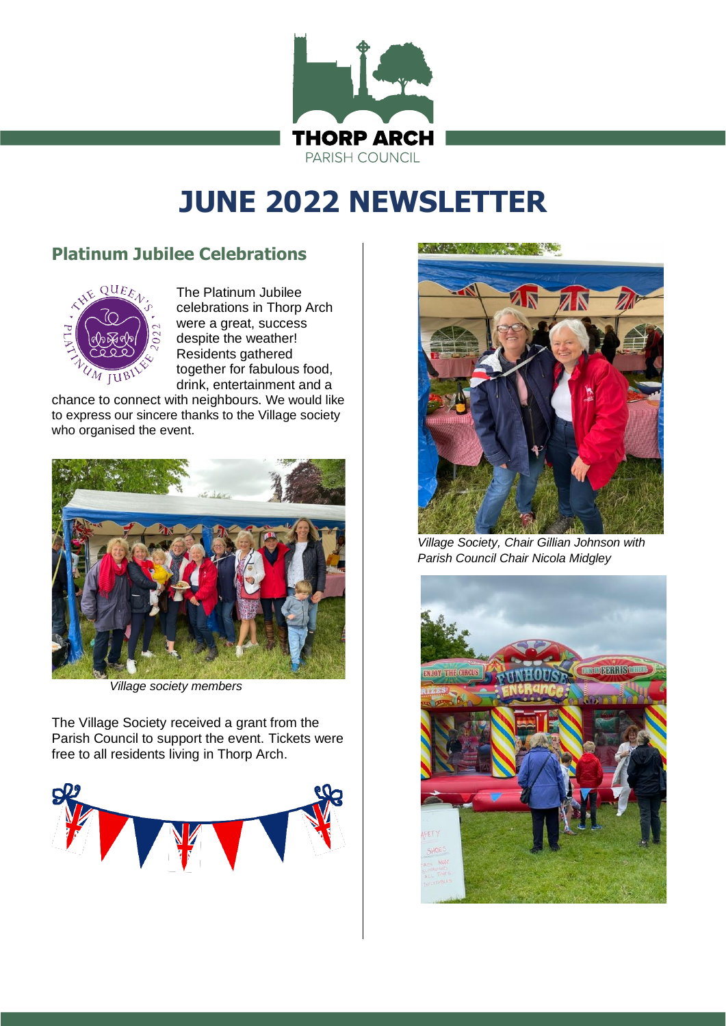

# **JUNE 2022 NEWSLETTER**

# **Platinum Jubilee Celebrations**



The Platinum Jubilee celebrations in Thorp Arch were a great, success despite the weather! Residents gathered together for fabulous food, drink, entertainment and a

chance to connect with neighbours. We would like to express our sincere thanks to the Village society who organised the event.



*Village society members*

The Village Society received a grant from the Parish Council to support the event. Tickets were free to all residents living in Thorp Arch.



ARCA AND ARCA CONTRACTOR



*Village Society, Chair Gillian Johnson with Parish Council Chair Nicola Midgley* 

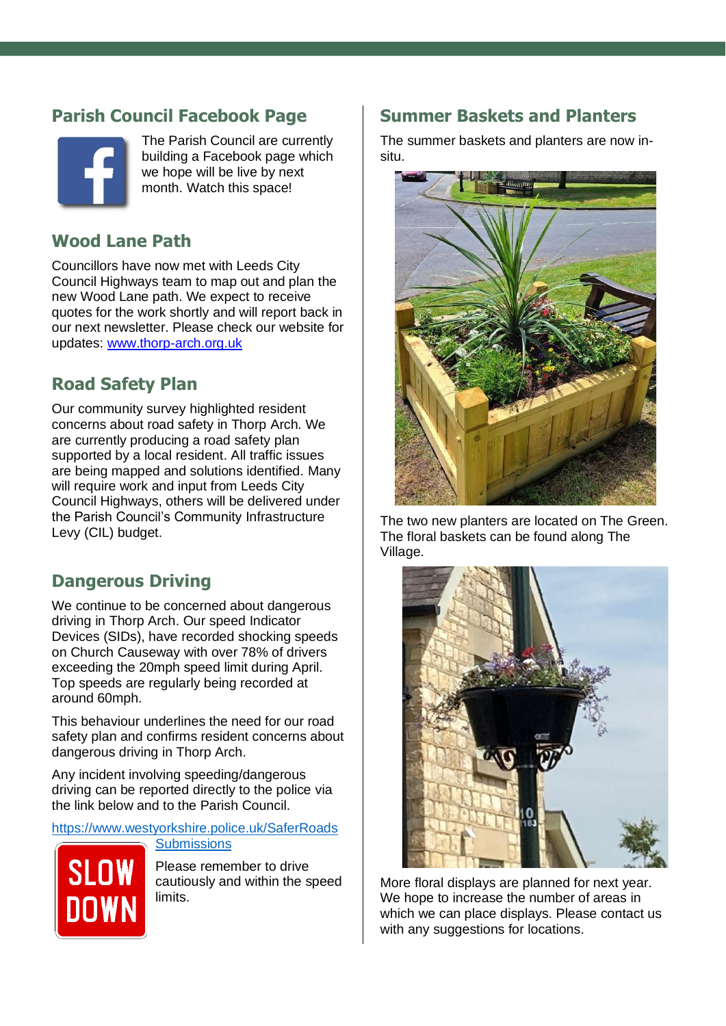# **Parish Council Facebook Page**



The Parish Council are currently building a Facebook page which we hope will be live by next month. Watch this space!

# **Wood Lane Path**

Councillors have now met with Leeds City Council Highways team to map out and plan the new Wood Lane path. We expect to receive quotes for the work shortly and will report back in our next newsletter. Please check our website for updates: [www.thorp-arch.org.uk](http://www.thorp-arch.org.uk/)

# **Road Safety Plan**

Our community survey highlighted resident concerns about road safety in Thorp Arch. We are currently producing a road safety plan supported by a local resident. All traffic issues are being mapped and solutions identified. Many will require work and input from Leeds City Council Highways, others will be delivered under the Parish Council's Community Infrastructure Levy (CIL) budget.

# **Dangerous Driving**

We continue to be concerned about dangerous driving in Thorp Arch. Our speed Indicator Devices (SIDs), have recorded shocking speeds on Church Causeway with over 78% of drivers exceeding the 20mph speed limit during April. Top speeds are regularly being recorded at around 60mph.

This behaviour underlines the need for our road safety plan and confirms resident concerns about dangerous driving in Thorp Arch.

Any incident involving speeding/dangerous driving can be reported directly to the police via the link below and to the Parish Council.

[https://www.westyorkshire.police.uk/SaferRoads](https://www.westyorkshire.police.uk/SaferRoadsSubmissions)

**[Submissions](https://www.westyorkshire.police.uk/SaferRoadsSubmissions)** 

**SLC** 

Please remember to drive cautiously and within the speed limits.

#### **Summer Baskets and Planters**

The summer baskets and planters are now insitu.



The two new planters are located on The Green. The floral baskets can be found along The Village.



More floral displays are planned for next year. We hope to increase the number of areas in which we can place displays. Please contact us with any suggestions for locations.